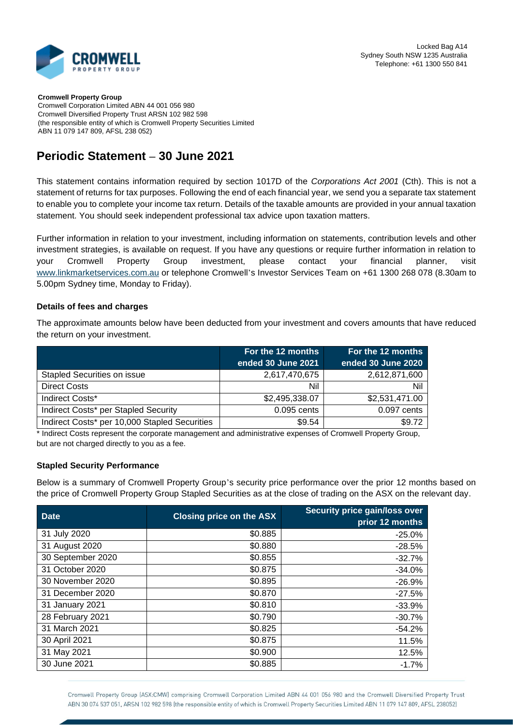

**Cromwell Property Group** Cromwell Corporation Limited ABN 44 001 056 980 Cromwell Diversified Property Trust ARSN 102 982 598 (the responsible entity of which is Cromwell Property Securities Limited ABN 11 079 147 809, AFSL 238 052)

## **Periodic Statement – 30 June 2021**

This statement contains information required by section 1017D of the *Corporations Act 2001* (Cth). This is not a statement of returns for tax purposes. Following the end of each financial year, we send you a separate tax statement to enable you to complete your income tax return. Details of the taxable amounts are provided in your annual taxation statement. You should seek independent professional tax advice upon taxation matters.

Further information in relation to your investment, including information on statements, contribution levels and other investment strategies, is available on request. If you have any questions or require further information in relation to your Cromwell Property Group investment, please contact your financial planner, visit [www.linkmarketservices.com.au](http://www.linkmarketservices.com.au/) or telephone Cromwell's Investor Services Team on +61 1300 268 078 (8.30am to 5.00pm Sydney time, Monday to Friday).

## **Details of fees and charges**

The approximate amounts below have been deducted from your investment and covers amounts that have reduced the return on your investment.

|                                               | For the 12 months  | For the 12 months  |
|-----------------------------------------------|--------------------|--------------------|
|                                               | ended 30 June 2021 | ended 30 June 2020 |
| Stapled Securities on issue                   | 2,617,470,675      | 2,612,871,600      |
| <b>Direct Costs</b>                           | Nil                | Nil                |
| Indirect Costs*                               | \$2,495,338.07     | \$2,531,471.00     |
| Indirect Costs* per Stapled Security          | 0.095 cents        | 0.097 cents        |
| Indirect Costs* per 10,000 Stapled Securities | \$9.54             | \$9.72             |

\* Indirect Costs represent the corporate management and administrative expenses of Cromwell Property Group, but are not charged directly to you as a fee.

## **Stapled Security Performance**

Below is a summary of Cromwell Property Group's security price performance over the prior 12 months based on the price of Cromwell Property Group Stapled Securities as at the close of trading on the ASX on the relevant day.

| <b>Date</b>       | <b>Closing price on the ASX</b> | Security price gain/loss over<br>prior 12 months |  |
|-------------------|---------------------------------|--------------------------------------------------|--|
| 31 July 2020      | \$0.885                         | $-25.0%$                                         |  |
| 31 August 2020    | \$0.880                         | $-28.5%$                                         |  |
| 30 September 2020 | \$0.855                         | $-32.7%$                                         |  |
| 31 October 2020   | \$0.875                         | $-34.0%$                                         |  |
| 30 November 2020  | \$0.895                         | $-26.9%$                                         |  |
| 31 December 2020  | \$0.870                         | $-27.5%$                                         |  |
| 31 January 2021   | \$0.810                         | $-33.9%$                                         |  |
| 28 February 2021  | \$0.790                         | $-30.7%$                                         |  |
| 31 March 2021     | \$0.825                         | $-54.2%$                                         |  |
| 30 April 2021     | \$0.875                         | 11.5%                                            |  |
| 31 May 2021       | \$0.900                         | 12.5%                                            |  |
| 30 June 2021      | \$0.885                         | $-1.7%$                                          |  |